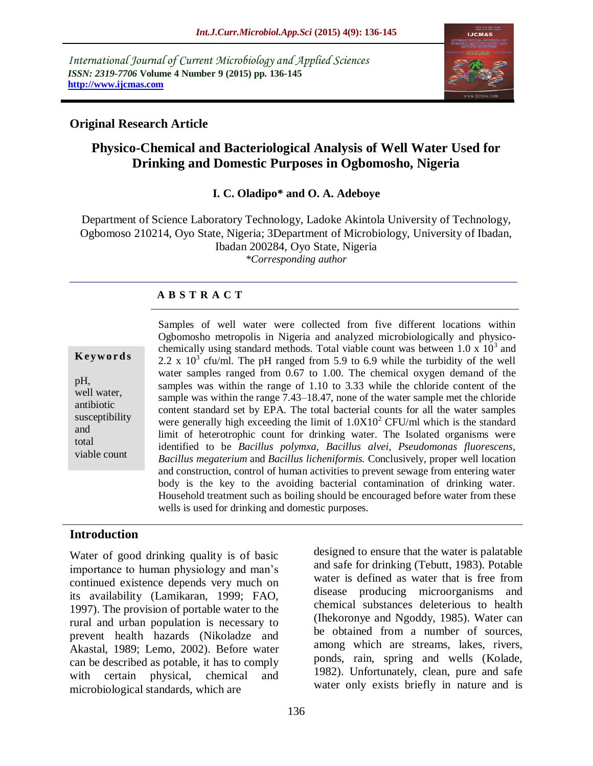*International Journal of Current Microbiology and Applied Sciences ISSN: 2319-7706* **Volume 4 Number 9 (2015) pp. 136-145 http://www.ijcmas.com** 



## **Original Research Article**

# **Physico-Chemical and Bacteriological Analysis of Well Water Used for Drinking and Domestic Purposes in Ogbomosho, Nigeria**

#### **I. C. Oladipo\* and O. A. Adeboye**

Department of Science Laboratory Technology, Ladoke Akintola University of Technology, Ogbomoso 210214, Oyo State, Nigeria; 3Department of Microbiology, University of Ibadan, Ibadan 200284, Oyo State, Nigeria *\*Corresponding author*

### **A B S T R A C T**

#### **K ey w o rd s**

pH, well water, antibiotic susceptibility and total viable count

Samples of well water were collected from five different locations within Ogbomosho metropolis in Nigeria and analyzed microbiologically and physicochemically using standard methods. Total viable count was between  $1.0 \times 10^3$  and 2.2 x  $10^3$  cfu/ml. The pH ranged from 5.9 to 6.9 while the turbidity of the well water samples ranged from 0.67 to 1.00. The chemical oxygen demand of the samples was within the range of 1.10 to 3.33 while the chloride content of the sample was within the range 7.43–18.47, none of the water sample met the chloride content standard set by EPA. The total bacterial counts for all the water samples were generally high exceeding the limit of  $1.0X10<sup>2</sup>$  CFU/ml which is the standard limit of heterotrophic count for drinking water. The Isolated organisms were identified to be *Bacillus polymxa, Bacillus alvei, Pseudomonas fluorescens, Bacillus megaterium* and *Bacillus licheniformis.* Conclusively, proper well location and construction, control of human activities to prevent sewage from entering water body is the key to the avoiding bacterial contamination of drinking water. Household treatment such as boiling should be encouraged before water from these wells is used for drinking and domestic purposes.

### **Introduction**

Water of good drinking quality is of basic importance to human physiology and man's continued existence depends very much on its availability (Lamikaran, 1999; FAO, 1997). The provision of portable water to the rural and urban population is necessary to prevent health hazards (Nikoladze and Akastal, 1989; Lemo, 2002). Before water can be described as potable, it has to comply with certain physical, chemical and microbiological standards, which are

designed to ensure that the water is palatable and safe for drinking (Tebutt, 1983). Potable water is defined as water that is free from disease producing microorganisms and chemical substances deleterious to health (Ihekoronye and Ngoddy, 1985). Water can be obtained from a number of sources, among which are streams, lakes, rivers, ponds, rain, spring and wells (Kolade, 1982). Unfortunately, clean, pure and safe water only exists briefly in nature and is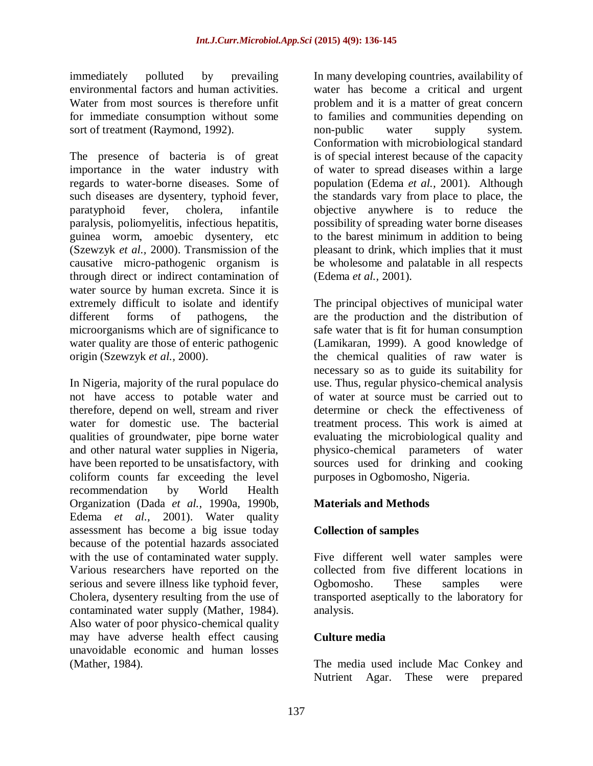immediately polluted by prevailing environmental factors and human activities. Water from most sources is therefore unfit for immediate consumption without some sort of treatment (Raymond, 1992).

The presence of bacteria is of great importance in the water industry with regards to water-borne diseases. Some of such diseases are dysentery, typhoid fever, paratyphoid fever, cholera, infantile paralysis, poliomyelitis, infectious hepatitis, guinea worm, amoebic dysentery, etc (Szewzyk *et al.,* 2000). Transmission of the causative micro-pathogenic organism is through direct or indirect contamination of water source by human excreta. Since it is extremely difficult to isolate and identify different forms of pathogens, the microorganisms which are of significance to water quality are those of enteric pathogenic origin (Szewzyk *et al.,* 2000).

In Nigeria, majority of the rural populace do not have access to potable water and therefore, depend on well, stream and river water for domestic use. The bacterial qualities of groundwater, pipe borne water and other natural water supplies in Nigeria, have been reported to be unsatisfactory, with coliform counts far exceeding the level recommendation by World Health Organization (Dada *et al.,* 1990a, 1990b, Edema *et al.,* 2001). Water quality assessment has become a big issue today because of the potential hazards associated with the use of contaminated water supply. Various researchers have reported on the serious and severe illness like typhoid fever, Cholera, dysentery resulting from the use of contaminated water supply (Mather, 1984). Also water of poor physico-chemical quality may have adverse health effect causing unavoidable economic and human losses (Mather, 1984).

In many developing countries, availability of water has become a critical and urgent problem and it is a matter of great concern to families and communities depending on non-public water supply system. Conformation with microbiological standard is of special interest because of the capacity of water to spread diseases within a large population (Edema *et al.,* 2001). Although the standards vary from place to place, the objective anywhere is to reduce the possibility of spreading water borne diseases to the barest minimum in addition to being pleasant to drink, which implies that it must be wholesome and palatable in all respects (Edema *et al.,* 2001).

The principal objectives of municipal water are the production and the distribution of safe water that is fit for human consumption (Lamikaran, 1999). A good knowledge of the chemical qualities of raw water is necessary so as to guide its suitability for use. Thus, regular physico-chemical analysis of water at source must be carried out to determine or check the effectiveness of treatment process. This work is aimed at evaluating the microbiological quality and physico-chemical parameters of water sources used for drinking and cooking purposes in Ogbomosho, Nigeria.

## **Materials and Methods**

### **Collection of samples**

Five different well water samples were collected from five different locations in Ogbomosho. These samples were transported aseptically to the laboratory for analysis.

### **Culture media**

The media used include Mac Conkey and Nutrient Agar. These were prepared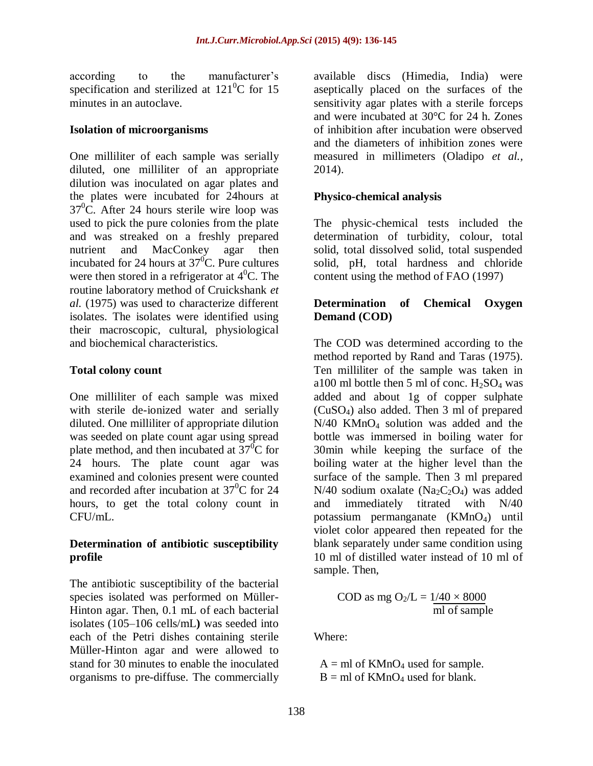according to the manufacturer's specification and sterilized at  $121^0C$  for 15 minutes in an autoclave.

#### **Isolation of microorganisms**

One milliliter of each sample was serially diluted, one milliliter of an appropriate dilution was inoculated on agar plates and the plates were incubated for 24hours at  $37^{\circ}$ C. After 24 hours sterile wire loop was used to pick the pure colonies from the plate and was streaked on a freshly prepared nutrient and MacConkey agar then incubated for 24 hours at  $37^{\circ}$ C. Pure cultures were then stored in a refrigerator at  $4^{\circ}$ C. The routine laboratory method of Cruickshank *et al.* (1975) was used to characterize different isolates. The isolates were identified using their macroscopic, cultural, physiological and biochemical characteristics.

### **Total colony count**

One milliliter of each sample was mixed with sterile de-ionized water and serially diluted. One milliliter of appropriate dilution was seeded on plate count agar using spread plate method, and then incubated at  $37^0C$  for 24 hours. The plate count agar was examined and colonies present were counted and recorded after incubation at  $37^{\circ}$ C for 24 hours, to get the total colony count in CFU/mL.

#### **Determination of antibiotic susceptibility profile**

The antibiotic susceptibility of the bacterial species isolated was performed on Müller-Hinton agar. Then, 0.1 mL of each bacterial isolates (105–106 cells/mL**)** was seeded into each of the Petri dishes containing sterile Müller-Hinton agar and were allowed to stand for 30 minutes to enable the inoculated organisms to pre-diffuse. The commercially

available discs (Himedia, India) were aseptically placed on the surfaces of the sensitivity agar plates with a sterile forceps and were incubated at 30°C for 24 h. Zones of inhibition after incubation were observed and the diameters of inhibition zones were measured in millimeters (Oladipo *et al.,* 2014).

## **Physico-chemical analysis**

The physic-chemical tests included the determination of turbidity, colour, total solid, total dissolved solid, total suspended solid, pH, total hardness and chloride content using the method of FAO (1997)

## **Determination of Chemical Oxygen Demand (COD)**

The COD was determined according to the method reported by Rand and Taras (1975). Ten milliliter of the sample was taken in a100 ml bottle then 5 ml of conc.  $H<sub>2</sub>SO<sub>4</sub>$  was added and about 1g of copper sulphate (CuSO4) also added. Then 3 ml of prepared N/40 KMnO<sup>4</sup> solution was added and the bottle was immersed in boiling water for 30min while keeping the surface of the boiling water at the higher level than the surface of the sample. Then 3 ml prepared  $N/40$  sodium oxalate (Na<sub>2</sub>C<sub>2</sub>O<sub>4</sub>) was added and immediately titrated with N/40 potassium permanganate  $(KMnO<sub>4</sub>)$  until violet color appeared then repeated for the blank separately under same condition using 10 ml of distilled water instead of 10 ml of sample. Then,

$$
COD \text{ as mg } O_2/L = \frac{1}{40 \times 8000}
$$
  
ml of sample

Where:

 $A = ml$  of KMnO<sub>4</sub> used for sample.  $B = ml$  of  $KMnO<sub>4</sub>$  used for blank.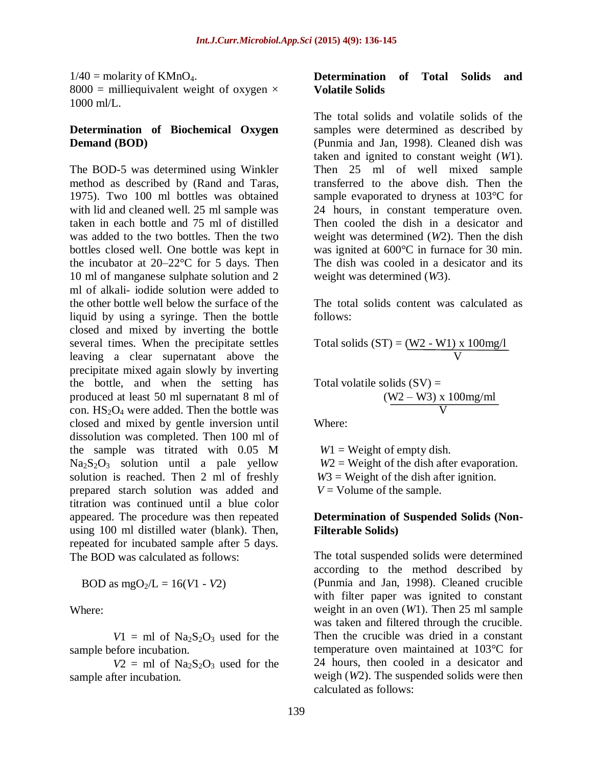$1/40$  = molarity of KMnO<sub>4</sub>. 8000 = milliequivalent weight of oxygen  $\times$  $1000$  ml/L.

#### **Determination of Biochemical Oxygen Demand (BOD)**

The BOD-5 was determined using Winkler method as described by (Rand and Taras, 1975). Two 100 ml bottles was obtained with lid and cleaned well. 25 ml sample was taken in each bottle and 75 ml of distilled was added to the two bottles. Then the two bottles closed well. One bottle was kept in the incubator at  $20-22$ °C for 5 days. Then 10 ml of manganese sulphate solution and 2 ml of alkali- iodide solution were added to the other bottle well below the surface of the liquid by using a syringe. Then the bottle closed and mixed by inverting the bottle several times. When the precipitate settles leaving a clear supernatant above the precipitate mixed again slowly by inverting the bottle, and when the setting has produced at least 50 ml supernatant 8 ml of con.  $HS_2O_4$  were added. Then the bottle was closed and mixed by gentle inversion until dissolution was completed. Then 100 ml of the sample was titrated with 0.05 M  $Na<sub>2</sub>S<sub>2</sub>O<sub>3</sub>$  solution until a pale yellow solution is reached. Then 2 ml of freshly prepared starch solution was added and titration was continued until a blue color appeared. The procedure was then repeated using 100 ml distilled water (blank). Then, repeated for incubated sample after 5 days. The BOD was calculated as follows:

BOD as  $mgO_2/L = 16(V1 - V2)$ 

Where:

 $V1 = ml$  of  $Na<sub>2</sub>S<sub>2</sub>O<sub>3</sub>$  used for the sample before incubation.

 $V2 = ml$  of  $Na<sub>2</sub>S<sub>2</sub>O<sub>3</sub>$  used for the sample after incubation.

#### **Determination of Total Solids and Volatile Solids**

The total solids and volatile solids of the samples were determined as described by (Punmia and Jan, 1998). Cleaned dish was taken and ignited to constant weight (*W*1). Then 25 ml of well mixed sample transferred to the above dish. Then the sample evaporated to dryness at 103°C for 24 hours, in constant temperature oven. Then cooled the dish in a desicator and weight was determined (*W*2). Then the dish was ignited at 600°C in furnace for 30 min. The dish was cooled in a desicator and its weight was determined (*W*3).

The total solids content was calculated as follows:

Total solids  $(ST) = (W2 - W1) \times 100$ mg/l V

Total volatile solids (SV) = 
$$
\frac{(W2 - W3) \times 100mg/ml}{V}
$$

Where:

 $W1 =$  Weight of empty dish.  $W2 =$  Weight of the dish after evaporation. *W*3 = Weight of the dish after ignition.  $V =$  Volume of the sample.

#### **Determination of Suspended Solids (Non-Filterable Solids)**

The total suspended solids were determined according to the method described by (Punmia and Jan, 1998). Cleaned crucible with filter paper was ignited to constant weight in an oven (*W*1). Then 25 ml sample was taken and filtered through the crucible. Then the crucible was dried in a constant temperature oven maintained at 103°C for 24 hours, then cooled in a desicator and weigh (*W*2). The suspended solids were then calculated as follows: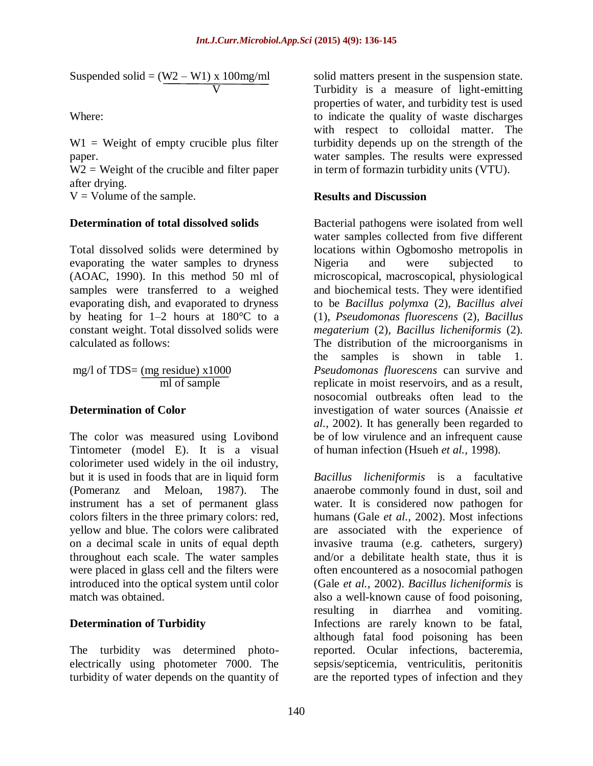Suspended solid =  $(W2 - W1)$  x 100mg/ml V

Where:

 $W1 = Weight of empty crucible plus filter$ paper.

 $W2 = Weight of the crucible and filter paper$ after drying.

 $V =$  Volume of the sample.

## **Determination of total dissolved solids**

Total dissolved solids were determined by evaporating the water samples to dryness (AOAC, 1990). In this method 50 ml of samples were transferred to a weighed evaporating dish, and evaporated to dryness by heating for 1–2 hours at 180°C to a constant weight. Total dissolved solids were calculated as follows:

mg/l of TDS= (mg residue) x1000 ml of sample

### **Determination of Color**

The color was measured using Lovibond Tintometer (model E). It is a visual colorimeter used widely in the oil industry, but it is used in foods that are in liquid form (Pomeranz and Meloan, 1987). The instrument has a set of permanent glass colors filters in the three primary colors: red, yellow and blue. The colors were calibrated on a decimal scale in units of equal depth throughout each scale. The water samples were placed in glass cell and the filters were introduced into the optical system until color match was obtained.

## **Determination of Turbidity**

The turbidity was determined photoelectrically using photometer 7000. The turbidity of water depends on the quantity of solid matters present in the suspension state. Turbidity is a measure of light-emitting properties of water, and turbidity test is used to indicate the quality of waste discharges with respect to colloidal matter. The turbidity depends up on the strength of the water samples. The results were expressed in term of formazin turbidity units (VTU).

## **Results and Discussion**

Bacterial pathogens were isolated from well water samples collected from five different locations within Ogbomosho metropolis in Nigeria and were subjected to microscopical, macroscopical, physiological and biochemical tests. They were identified to be *Bacillus polymxa* (2)*, Bacillus alvei*  (1)*, Pseudomonas fluorescens* (2)*, Bacillus megaterium* (2)*, Bacillus licheniformis* (2)*.* The distribution of the microorganisms in the samples is shown in table 1. *Pseudomonas fluorescens* can survive and replicate in moist reservoirs, and as a result, nosocomial outbreaks often lead to the investigation of water sources (Anaissie *et al.,* 2002). It has generally been regarded to be of low virulence and an infrequent cause of human infection (Hsueh *et al.,* 1998).

*Bacillus licheniformis* is a facultative anaerobe commonly found in dust, soil and water. It is considered now pathogen for humans (Gale *et al.,* 2002). Most infections are associated with the experience of invasive trauma (e.g. catheters, surgery) and/or a debilitate health state, thus it is often encountered as a nosocomial pathogen (Gale *et al.,* 2002). *Bacillus licheniformis* is also a well-known cause of food poisoning, resulting in diarrhea and vomiting. Infections are rarely known to be fatal, although fatal food poisoning has been reported. Ocular infections, bacteremia, sepsis/septicemia, ventriculitis, peritonitis are the reported types of infection and they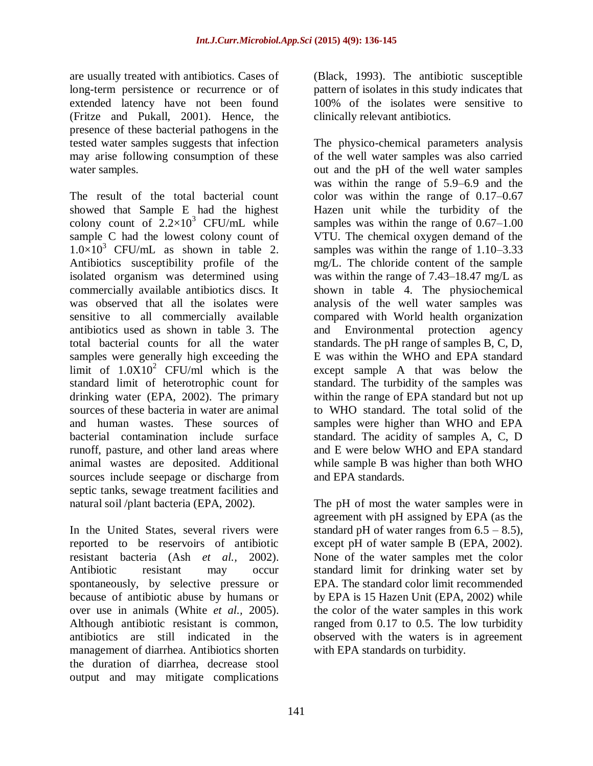are usually treated with antibiotics. Cases of long-term persistence or recurrence or of extended latency have not been found (Fritze and Pukall, 2001). Hence, the presence of these bacterial pathogens in the tested water samples suggests that infection may arise following consumption of these water samples.

The result of the total bacterial count showed that Sample E had the highest colony count of  $2.2 \times 10^3$  CFU/mL while sample C had the lowest colony count of  $1.0\times10^3$  CFU/mL as shown in table 2. Antibiotics susceptibility profile of the isolated organism was determined using commercially available antibiotics discs. It was observed that all the isolates were sensitive to all commercially available antibiotics used as shown in table 3. The total bacterial counts for all the water samples were generally high exceeding the limit of  $1.0X10^2$  CFU/ml which is the standard limit of heterotrophic count for drinking water (EPA, 2002). The primary sources of these bacteria in water are animal and human wastes. These sources of bacterial contamination include surface runoff, pasture, and other land areas where animal wastes are deposited. Additional sources include seepage or discharge from septic tanks, sewage treatment facilities and natural soil /plant bacteria (EPA, 2002).

In the United States, several rivers were reported to be reservoirs of antibiotic resistant bacteria (Ash *et al.,* 2002). Antibiotic resistant may occur spontaneously, by selective pressure or because of antibiotic abuse by humans or over use in animals (White *et al.,* 2005). Although antibiotic resistant is common, antibiotics are still indicated in the management of diarrhea. Antibiotics shorten the duration of diarrhea, decrease stool output and may mitigate complications

(Black, 1993). The antibiotic susceptible pattern of isolates in this study indicates that 100% of the isolates were sensitive to clinically relevant antibiotics.

The physico-chemical parameters analysis of the well water samples was also carried out and the pH of the well water samples was within the range of 5.9–6.9 and the color was within the range of 0.17–0.67 Hazen unit while the turbidity of the samples was within the range of 0.67–1.00 VTU. The chemical oxygen demand of the samples was within the range of 1.10–3.33 mg/L. The chloride content of the sample was within the range of 7.43–18.47 mg/L as shown in table 4. The physiochemical analysis of the well water samples was compared with World health organization and Environmental protection agency standards. The pH range of samples B, C, D, E was within the WHO and EPA standard except sample A that was below the standard. The turbidity of the samples was within the range of EPA standard but not up to WHO standard. The total solid of the samples were higher than WHO and EPA standard. The acidity of samples A, C, D and E were below WHO and EPA standard while sample B was higher than both WHO and EPA standards.

The pH of most the water samples were in agreement with pH assigned by EPA (as the standard pH of water ranges from  $6.5 - 8.5$ ), except pH of water sample B (EPA, 2002). None of the water samples met the color standard limit for drinking water set by EPA. The standard color limit recommended by EPA is 15 Hazen Unit (EPA, 2002) while the color of the water samples in this work ranged from 0.17 to 0.5. The low turbidity observed with the waters is in agreement with EPA standards on turbidity.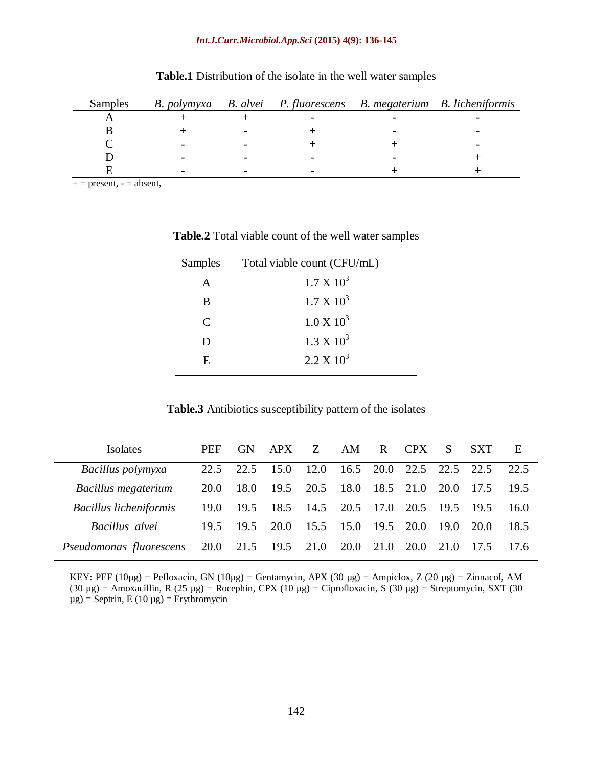| Samples |  |  | B. polymyxa B. alvei P. fluorescens B. megaterium B. licheniformis |
|---------|--|--|--------------------------------------------------------------------|
|         |  |  |                                                                    |
|         |  |  |                                                                    |
|         |  |  |                                                                    |
|         |  |  |                                                                    |
|         |  |  |                                                                    |

**Table.1** Distribution of the isolate in the well water samples

 $+=$  present,  $=$  absent,

| Samples                     | Total viable count (CFU/mL) |
|-----------------------------|-----------------------------|
| A                           | $1.7 \times 10^3$           |
| B                           | $1.7 \times 10^3$           |
| $\mathcal{C}_{\mathcal{C}}$ | $1.0 \times 10^3$           |
| D                           | $1.3 \times 10^3$           |
| E                           | $2.2 \times 10^3$           |

**Table.2** Total viable count of the well water samples

| Table.3 Antibiotics susceptibility pattern of the isolates |  |  |  |
|------------------------------------------------------------|--|--|--|
|------------------------------------------------------------|--|--|--|

| Isolates                      | <b>PEF</b> | <b>GN</b> | APX                           | Z    | AM        | R         | <b>CPX</b>     | S.   | <b>SXT</b> | Ε    |
|-------------------------------|------------|-----------|-------------------------------|------|-----------|-----------|----------------|------|------------|------|
| Bacillus polymyxa             | 22.5       | 22.5      | 15.0                          | 12.0 |           | 16.5 20.0 | 22.5 22.5 22.5 |      |            | 22.5 |
| Bacillus megaterium           | 20.0       | 18.0      | 19.5                          | 20.5 | 18.0      |           | 18.5 21.0      | 20.0 | 17.5       | 19.5 |
| <b>Bacillus licheniformis</b> | 19.0       | 19.5      | 18.5                          | 14.5 | 20.5 17.0 |           | 20.5           | 19.5 | 19.5       | 16.0 |
| Bacillus alvei                | 19.5       | 19.5      | 20.0                          | 15.5 | 15.0      | 19.5      | 20.0           | 19.0 | 20.0       | 18.5 |
| Pseudomonas fluorescens       |            |           | 20.0 21.5 19.5 21.0 20.0 21.0 |      |           |           | <b>20.0</b>    | 21.0 | 17.5       | 17.6 |

KEY: PEF (10µg) = Pefloxacin, GN (10µg) = Gentamycin, APX (30 µg) = Ampiclox, Z (20 µg) = Zinnacof, AM (30 µg) = Amoxacillin, R (25 µg) = Rocephin, CPX (10 µg) = Ciprofloxacin, S (30 µg) = Streptomycin, SXT (30  $\mu$ g) = Septrin, E (10  $\mu$ g) = Erythromycin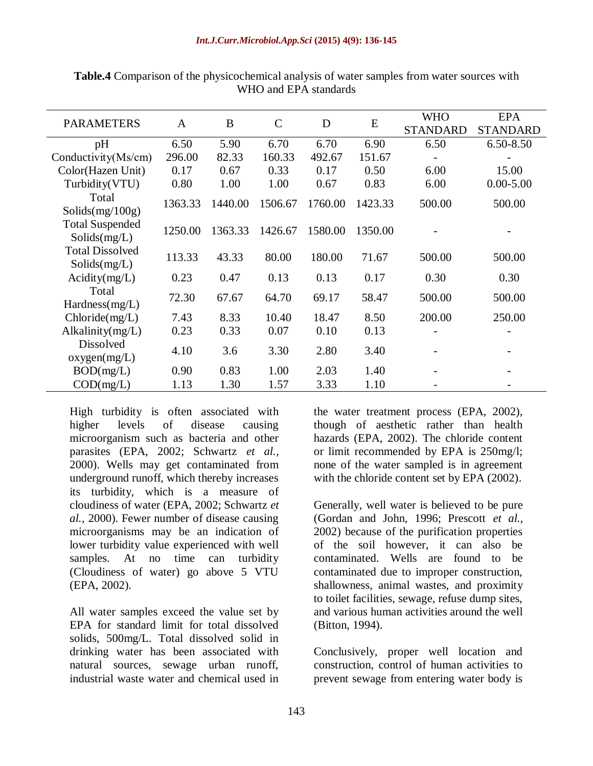| <b>PARAMETERS</b>                      | $\mathbf{A}$ | B       | $\mathbf C$ | D       | E       | <b>WHO</b><br><b>STANDARD</b> | EPA<br><b>STANDARD</b> |
|----------------------------------------|--------------|---------|-------------|---------|---------|-------------------------------|------------------------|
| pH                                     | 6.50         | 5.90    | 6.70        | 6.70    | 6.90    | 6.50                          | 6.50-8.50              |
| Conductivity(Ms/cm)                    | 296.00       | 82.33   | 160.33      | 492.67  | 151.67  |                               |                        |
| Color(Hazen Unit)                      | 0.17         | 0.67    | 0.33        | 0.17    | 0.50    | 6.00                          | 15.00                  |
| Turbidity(VTU)                         | 0.80         | 1.00    | 1.00        | 0.67    | 0.83    | 6.00                          | $0.00 - 5.00$          |
| Total<br>Solids(mg/100g)               | 1363.33      | 1440.00 | 1506.67     | 1760.00 | 1423.33 | 500.00                        | 500.00                 |
| <b>Total Suspended</b><br>Solids(mg/L) | 1250.00      | 1363.33 | 1426.67     | 1580.00 | 1350.00 |                               |                        |
| <b>Total Dissolved</b><br>Solids(mg/L) | 113.33       | 43.33   | 80.00       | 180.00  | 71.67   | 500.00                        | 500.00                 |
| Acidity(mg/L)                          | 0.23         | 0.47    | 0.13        | 0.13    | 0.17    | 0.30                          | 0.30                   |
| Total<br>Hardness(mg/L)                | 72.30        | 67.67   | 64.70       | 69.17   | 58.47   | 500.00                        | 500.00                 |
| Chloride(mg/L)                         | 7.43         | 8.33    | 10.40       | 18.47   | 8.50    | 200.00                        | 250.00                 |
| Alkalinity $(mg/L)$                    | 0.23         | 0.33    | 0.07        | 0.10    | 0.13    |                               |                        |
| <b>Dissolved</b><br>oxygen(mg/L)       | 4.10         | 3.6     | 3.30        | 2.80    | 3.40    |                               |                        |
| BOD(mg/L)                              | 0.90         | 0.83    | 1.00        | 2.03    | 1.40    | $\overline{a}$                |                        |
| COD(mg/L)                              | 1.13         | 1.30    | 1.57        | 3.33    | 1.10    |                               |                        |

**Table.4** Comparison of the physicochemical analysis of water samples from water sources with WHO and EPA standards

High turbidity is often associated with higher levels of disease causing microorganism such as bacteria and other parasites (EPA, 2002; Schwartz *et al.,* 2000). Wells may get contaminated from underground runoff, which thereby increases its turbidity, which is a measure of cloudiness of water (EPA, 2002; Schwartz *et al.,* 2000). Fewer number of disease causing microorganisms may be an indication of lower turbidity value experienced with well samples. At no time can turbidity (Cloudiness of water) go above 5 VTU (EPA, 2002).

All water samples exceed the value set by EPA for standard limit for total dissolved solids, 500mg/L. Total dissolved solid in drinking water has been associated with natural sources, sewage urban runoff, industrial waste water and chemical used in

the water treatment process (EPA, 2002), though of aesthetic rather than health hazards (EPA, 2002). The chloride content or limit recommended by EPA is 250mg/l; none of the water sampled is in agreement with the chloride content set by EPA (2002).

Generally, well water is believed to be pure (Gordan and John, 1996; Prescott *et al.,* 2002) because of the purification properties of the soil however, it can also be contaminated. Wells are found to be contaminated due to improper construction, shallowness, animal wastes, and proximity to toilet facilities, sewage, refuse dump sites, and various human activities around the well (Bitton, 1994).

Conclusively, proper well location and construction, control of human activities to prevent sewage from entering water body is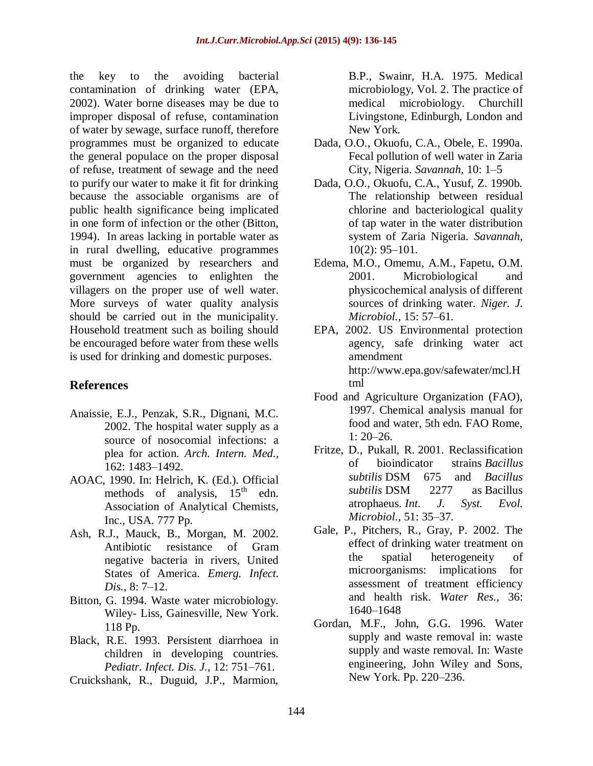the key to the avoiding bacterial contamination of drinking water (EPA, 2002). Water borne diseases may be due to improper disposal of refuse, contamination of water by sewage, surface runoff, therefore programmes must be organized to educate the general populace on the proper disposal of refuse, treatment of sewage and the need to purify our water to make it fit for drinking because the associable organisms are of public health significance being implicated in one form of infection or the other (Bitton, 1994). In areas lacking in portable water as in rural dwelling, educative programmes must be organized by researchers and government agencies to enlighten the villagers on the proper use of well water. More surveys of water quality analysis should be carried out in the municipality. Household treatment such as boiling should be encouraged before water from these wells is used for drinking and domestic purposes.

## **References**

- Anaissie, E.J., Penzak, S.R., Dignani, M.C. 2002. The hospital water supply as a source of nosocomial infections: a plea for action. *Arch. Intern. Med.,*  162: 1483–1492.
- AOAC, 1990. In: Helrich, K. (Ed.). Official<br>methods of analysis,  $15<sup>th</sup>$  edn. methods of analysis, Association of Analytical Chemists, Inc., USA. 777 Pp.
- Ash, R.J., Mauck, B., Morgan, M. 2002. Antibiotic resistance of Gram negative bacteria in rivers, United States of America. *Emerg. Infect. Dis.,* 8: 7–12.
- Bitton, G. 1994. Waste water microbiology. Wiley- Liss, Gainesville, New York. 118 Pp.
- Black, R.E. 1993. Persistent diarrhoea in children in developing countries. *Pediatr. Infect. Dis. J.,* 12: 751–761.
- Cruickshank, R., Duguid, J.P., Marmion,

B.P., Swainr, H.A. 1975. Medical microbiology, Vol. 2. The practice of medical microbiology. Churchill Livingstone, Edinburgh, London and New York.

- Dada, O.O., Okuofu, C.A., Obele, E. 1990a. Fecal pollution of well water in Zaria City, Nigeria. *Savannah,* 10: 1–5
- Dada, O.O., Okuofu, C.A., Yusuf, Z. 1990b. The relationship between residual chlorine and bacteriological quality of tap water in the water distribution system of Zaria Nigeria*. Savannah,*  10(2): 95–101.
- Edema, M.O., Omemu, A.M., Fapetu, O.M. 2001. Microbiological and physicochemical analysis of different sources of drinking water*. Niger. J. Microbiol.,* 15: 57–61.
- EPA, 2002. US Environmental protection agency, safe drinking water act amendment [http://www.epa.gov/safewater/mcl.H](http://www.epa.gov/safewater/mcl.Html) [tml](http://www.epa.gov/safewater/mcl.Html)
- Food and Agriculture Organization (FAO), 1997. Chemical analysis manual for food and water, 5th edn. FAO Rome, 1: 20–26.
- Fritze, D., Pukall, R. 2001. Reclassification of bioindicator strains *Bacillus subtilis* DSM 675 and *Bacillus subtilis* DSM 2277 as Bacillus atrophaeus. *Int. J. Syst. Evol. Microbiol.,* 51: 35–37.
- Gale, P., Pitchers, R., Gray, P. 2002. The effect of drinking water treatment on the spatial heterogeneity of microorganisms: implications for assessment of treatment efficiency and health risk. *Water Res.,* 36: 1640–1648
- Gordan, M.F., John, G.G. 1996. Water supply and waste removal in: waste supply and waste removal. In: Waste engineering, John Wiley and Sons, New York. Pp. 220–236.